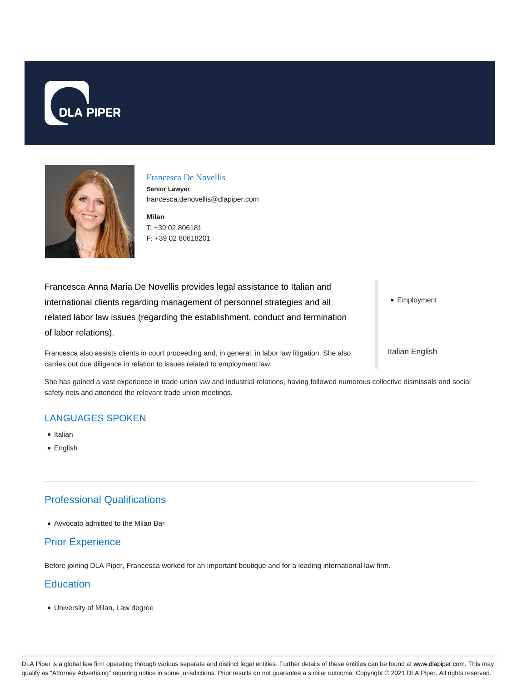



#### Francesca De Novellis

**Senior Lawyer** francesca.denovellis@dlapiper.com

**Milan** T: +39 02 806181 F: +39 02 80618201

Francesca Anna Maria De Novellis provides legal assistance to Italian and international clients regarding management of personnel strategies and all related labor law issues (regarding the establishment, conduct and termination of labor relations).

Francesca also assists clients in court proceeding and, in general, in labor law litigation. She also carries out due diligence in relation to issues related to employment law.

• Employment

Italian English

She has gained a vast experience in trade union law and industrial relations, having followed numerous collective dismissals and social safety nets and attended the relevant trade union meetings.

### LANGUAGES SPOKEN

- Italian
- English

# Professional Qualifications

Avvocato admitted to the Milan Bar

### Prior Experience

Before joining DLA Piper, Francesca worked for an important boutique and for a leading international law firm.

### **Education**

University of Milan, Law degree

DLA Piper is a global law firm operating through various separate and distinct legal entities. Further details of these entities can be found at www.dlapiper.com. This may qualify as "Attorney Advertising" requiring notice in some jurisdictions. Prior results do not guarantee a similar outcome. Copyright © 2021 DLA Piper. All rights reserved.